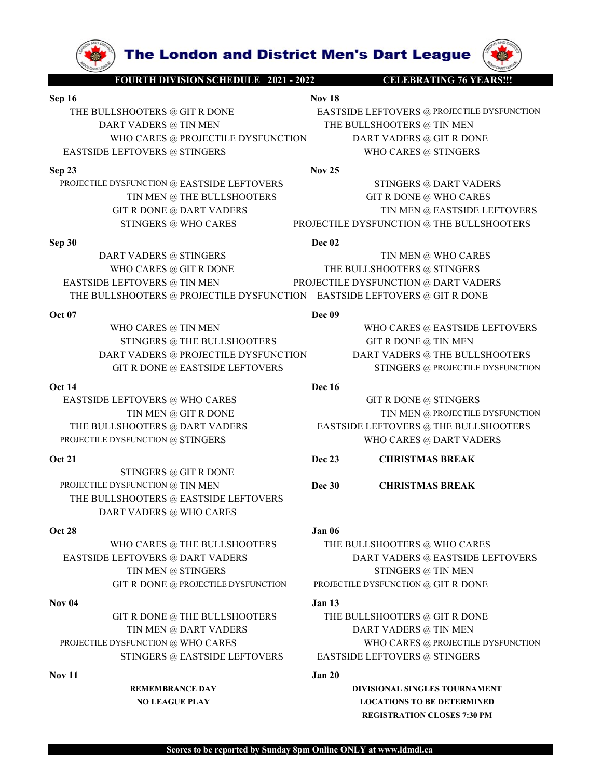

**The London and District Men's Dart League (WARS!!!**<br>FOURTH DIVISION SCHEDULE 2021 - 2022 CELEBRATING 76 YEARS!!!<br>SHOOTERS @ GIT R DONE EASTSIDE LEFTOVERS @ PROJECTILE DYSFUNCTION<br>THE BULLSHOOTERS @ TIN MEN<br>VHO CARES @ PRO **Sep 16**<br>
THE BULLSHOOTERS @ GIT R DONE<br>
THE BULLSHOOTERS @ GIT R DONE<br>
DART VADERS @ TIN MEN<br>
Note CARES @ PROJECTILE DYSFUNCTION<br>
EASTSIDE LEFTOVERS @ TIN MEN<br>
EASTSIDE LEFTOVERS @ TIN MEN<br>
EASTSIDE LEFTOVERS @ STINGERS<br> The London and District Men's Dart League<br>
FOURTH DIVISION SCHEDULE 2021 - 2022<br>
THE BULLSHOOTERS @ GIT R DONE<br>
DART VADERS @ TIN MEN<br>
WHO CARES @ PROJECTILE DYSFUNCTION<br>
ASTSIDE LEFTOVERS @ STINGERS<br>
23<br>
Nov 25<br>
Nov 25 **The London and District Men's Dart League (NAMEL FOURTH DIVISION SCHEDULE 2021-2022**<br>
DART VADERS @ GIT R DONE<br>
DART VADERS @ TIN MEN THE BULLSHOOTERS @ TIN MEN<br>
WHO CARES @ PROJECTILE DYSFUNCTION<br>
DE LEFTOVERS @ STINGERS The London and District Men's Dart League<br>
Nourin Division Schedule 2021-2022<br>
Nov 18<br>
LISHOOTERS @ GIT R DONE<br>
NE BULLSHOOTERS @ PROJECTILE DYSFUNCTION<br>
LEFTOVERS @ PROJECTILE DYSFUNCTION<br>
LEFTOVERS @ STINGERS<br>
DIVISION D THE BULLSHOOTERS @ GTR DONE **EASTSIDE LEFTOVERS @ PROJECTILE DYSPUNCTION**<br>
THE BULLSHOOTERS @ GTR DONE<br>
DART VADERS @ TIN MEN<br>
WHO CARES @ PROJECTILE DYSPUNCTION<br>
EASTSIDE LEFTOVERS @ TIN MEN<br>
WHO CARES @ STINGERS<br>
23<br>
ROJ **SEP 33**<br>
THE BULLSHOOTERS @ GENERAL MEDITION CONSIDERED TO CARES<br>
THE BULLSHOOTERS @ GENERAL MEDITION OF THE BULLSHOOTERS @ TO REVISION OF THE BULLSHOOTERS @ TO REVISION OF THE BULLSHOOTERS @ TO REVISION OF THE BULLSHOOTE **PROFESSION CONSERVANCES**<br> **PRODUCTION SCALE DEAST SOME CONSERVANCES**<br>
THE BULLSHOOTERS @ GIT R DONE<br>
DART VADERS @ TIN MEN<br>
PRODUCTILE DYSPUNCTION<br>
PRODUCTILE DYSPUNCTION DART VADERS @ TIN MEN<br>
PRODUCTILE DYSPUNCTION @ EA THE LONGING SERVICE SERVICE CONSIDERED TRINGERS TO CARES TO CARE ART VADERS AND CARES TO DART VADERS AND CARES<br>
FOURTHOUTERS OF THE BULLSHOOTENS OF THE BULLSHOOTENS OF THE BULLSHOOTENS OF THE BULLSHOOTENS OF THE BULLSHOOT

TIN MEN @ THE BULLSHOOTERS GIT R DONE @ WHO CARES

**STINGERS AND CARES PROJECTILE DYSFUNCTION WERE SET AND CARES TO CARES PROJECTILE DYSFUNCTION**<br>
THE BULLSHOOTERS **@ THE BULLSHOOTERS AND CARES (PROJECTILE DYSFUNCTION**<br>
THE BULLSHOOTERS **@ TIN MEN**<br>
STINGERS PROJECTILE DYS SEP 18<br>
SEPTER THE BULLSHOOTERS @ GIT R DONE<br>
THE BULLSHOOTERS @ GIT R DONE<br>
DECATES AND THE BULLSHOOTERS @ GIT R DONE<br>
DART VADERS @ TIN MEN<br>
WHO CARES @ TRINGERS<br>
EASTSIDE LEFTOVERS @ TINNEN<br>
EASTSIDE LEFTOVERS @ TINNEN<br> **THE LONGING AND DESPECTED BY-PUBLISHOTERS TINGERS THE BULLSHOOTERS TO THE BULLSHOOTERS DART VADERS AND DART VADERS AND DESCRIPTION THE BULLSHOOTERS TINGERS TINGERS TO THE BULLSHOOTERS TO THE BULLSHOOTERS TO THE BULLSHOOTE The London and District Men's Dart League (CONSUMINIONS CONSUMINITY AND THE BULLSHOOTERS WANT VADERS**  $\pi$  **THE BULLSHOOTERS**  $\pi$  **The BULLSHOOTERS**  $\pi$  **The BULLSHOOTERS**  $\pi$  **The BULLSHOOTERS**  $\pi$  **The BULLSHOOTERS**  $\pi$  **The EXTREMELT TOWERS WARRELL SERVICE THE BULLSHOOTERS @ TRIMENALL PROJECTILE DYSFUNCTION CARES (STROKES PROJECTILE DYSFUNCTION DART VADERS (STROKES PROJECTILE DYSFUNCTION DART VADERS (STROKES PROJECTILE DYSFUNCTION DART VADE** THE BULLSHOOTERS @ GIT ROWER (THE BULLSHOOTERS @ THE BULLSHOOTERS @ FROJECTILE DYSFUNCTION BORT VADERS @ THE BULLSHOOTERS @ THE BULLSHOOTERS @ THE BULLSHOOTERS @ THE BULLSHOOTERS @ STINGERS (THE BULLSHOOTERS & STINGERS & S FOR THE BULLSHOOTERS (GITR DOWNLESS (ETT DOUBLESS AND DRAFT VADERS OF THE BULLSHOOTERS (GITR DOWNLESS (ETT DOWNLESS (GITR DOWNLESS (GITR DOWNLESS (GITR DOWNLESS (GITR DOWNLESS (GITR DOWNLESS (GITR DOWNLESS (GITR DOWNLESS ( MOURTH DIVISION SCHEDULE 2012 2022<br>
LSHOOTERS @ GIT R DONE<br>
NEVADERS @ TIN MEN THE BULLSHOOTERS @ TIN MEN<br>
WHO CARES @ PRODECTILE DYSFUNCTION<br>
WHO CARES @ PRODECTILE DYSFUNCTION<br>
NEVADERS @ TIN MEN WHO CARES<br>
DYSEUNCTION @ ULLSHOOTERS @ GIT R DONE<br>
MART VADERS @ TIN MEN<br>
NAT VADERS @ TIN MEN @ RESTENDE LEFTOVERS @ TIN MEN @ THE BULLSHOOTERS @ TIN MEN @ INTRIPARTS @ TINGERS<br>
IN MEN @ EASTSIDE LEFTOVERS<br>
TIN MEN @ EASTSIDE LETOVERS<br>
TIN MEN @ SHOVIERS WITH A DONE THE BULLSHOOTERS @ FINDERS & FINDERS @ ESTINGERS & THE RULLSHOOTERS @ ESTINGERS & STINGERS & STINGERS & STINGERS & STINGERS OF R DONE (GET R DONE OF R DONE OF R DONE OF R DONE OF R DONE OF R DONE OF R WHO CARES @ FRODECTILE DYSFUNCTION<br>
SASTSIDE LEFTOVERS @ STINGERS & STINGERS & TINGERS & TINGERS PARE TOWER AND THE BULLSHOOTERS<br>
TIN MEN @ THE BULLSHOOTERS<br>
OF THE DIVERS & SOME TOWERS<br>
STINGERS & THE BULLSHOOTERS<br>
STING EASTSIDE LEFTOVERS @ STINGERS **NOTE**<br>
EXERCISE DRIVING (NET ROOME ONE CARES TIN MEN @ THE BULLSHOOTERS GIT R DONE @ THAT ROOKE GIVEN CARES GIT R DONE CARES GIT ROOKE SUPPORTS STINGERS PROJECTILE DYSEVINCTION @ THE BULLSHOO FUNCTION @ EASTSIDE LEFTOVERS<br>
TIN MEN @ THE BULLSHOOTERS<br>
TEN MEN @ THE BULLSHOOTERS<br>
TRODINE @ DART VADERS<br>
TRODINE @ THE BULLSHOOTERS<br>
NADERS<br>
© TARES<br>
TO CARES<br>
© TIN MEN © THE BULLSHOOTERS<br>
OCARES<br>
TO CARES<br>
© TIN ME COLULE DYSPUNCTION © EASTSIDE LEFTOVERS and the BULLSHOOTERS of THE BULLSHOOTERS of THE BULLSHOOTERS of THE BULLSHOOTERS **DART VADERS DECISITE AND CARES DECISITE AND CARES DECISITE AND CARES DECISITE AND CARES** PROBECTILE DYSFUNCTION (DARTS @ THE BULLSHOOTERS STINGERS WHO CARES WHO CARES STINGERS (STINGERS BURDLESHOOTERS DREVEL EFTOVERS DESTSIDE LEFTOVERS DREVEL STINGERS @ STINGERS WHO CARES DREVEL STINGERS WHO CARES DREVEL STING Oct 21 Dec 23 CHRISTMAS BREAK PROJECTILE PYSFUNCTION @ TIN MEN @ WHO CARES<br>
MEDICARES @ TET ROONE<br>
THE BULLSHOOTERS @ TINGERS<br>
THE BULLSHOOTERS @ TRINGER<br>
THE BULLSHOOTERS @ TRINGERS<br>
THE BULLSHOOTERS @ TRINGERS<br>
STROEGERS @ THE BULLSHOOTERS<br>
STROEGERS

STINGERS @ THE BULLSHOOTERS GIT R DONE @ TIN MEN

STINGERS @ GIT R DONE THE BULLSHOOTERS @ EASTSIDE LEFTOVERS DART VADERS @ WHO CARES THE BULLSHOOTERS @ DART VADERS<br>
PRODUCTILE DYSTUNCTION @ STINGERS<br>
Orl 21<br>
STINGERS © GTR DONE<br>
NOVE CARES © DART VADERS<br>
PRODUCTLE DYSTUNCTION @ TIN MEN<br>
PRODUCTLE DYSTUNCTION @ TIN MEN<br>
DART VADERS @ RASTSIDE LEFTOVERS<br>

WHO CARES @ THE BULLSHOOTERS THE BULLSHOOTERS @ WHO CARES

EASTSIDE LEFTOVERS @ TRIME BULLSHOOTERS @ TRIME THE BULLSHOOTERS @ TRIME ASTSIDE LEFTOVERS WHO CARES<br>
ON OF THE BULLSHOOTER WERE TOWER WAS TRIMEDUPORTED AND THE SULTIFIED OF THE SULTIFIED OF THE SULTIFIED OF THE SULTIFIED EXTRIBE EXTINGERS @ TIN MEN<br>
EASTSIDE LEFTOVERS<br>
THE BULLSHOOTERS of PRODUCTILE DYSFUNCTION<br>
THE BULLSHOOTERS & WHO CARES<br>
THE BULLSHOOTERS @ WHO CARES<br>
TIME ENDINE WERE REFOVERS<br>
TIME IN MEN 6 GIT R DONE @ EASTSIDE LEFTO OCARES @ THE BULLSHOOTERS<br>
TRODER & THE BULLSHOOTERS<br>
VANDERS & PROJECTIVE DYSEUNCEMENT VADERS & THE BULLSHOOTERS<br>
TOWERS & HAO CARES<br>
TOWERS @ MAND CARES<br>
TOWERS @ MAND CARES<br>
TOWERS @ MAND CARES<br>
TOWERS @ MAND CARES<br>
DEC WHO CARES @ PROJECTILE DYSFUNCTION<br>
ET VADERS @ PROJECTILE DYSFUNCTION<br>
GIT R DONE @ FASTSIDE LEFTOVERS<br>
GIT R DONE @ FASTSIDE LEFTOVERS<br>
TIN MEN<br>
DRE PROJECTILE DYSFUNCTION<br>
TIN MEN @ GIT R DONE<br>
TENGERS @ WHO CARES<br>
TENG DART VADERS @ FROECTILE DYSEUNCTION<br>
OR LA<br>
CASTSIDE LEFTOVERS GITR DONE (THE BULLSHOOTERS<br>
TIN MEN @ RODECTILE DYSEUNCTION<br>
THE BULLSHOOTERS @ WHO CARES<br>
THE BULLSHOOTERS @ DART VADERS<br>
THE BULLSHOOTERS @ DART VADERS<br>
OR TOVERS @ WHO CARES<br>
TIN MEN @ GIT R DONE<br>
IOOTERS @ DART VADERS<br>
IOOTERS @ DART VADERS<br>
ENCICIOS & TIN MEN<br>
DEC 33<br>
TINGERS @ TIN MEN<br>
DEC 33<br>
TINGERS @ TIN MEN<br>
DEC 33<br>
CHRISTMAS BREAK<br>
TINGERS @ TIN MEN<br>
DEC 30<br>
CHRISTMA FROMETILE PROVE @ TIN MEN @ DAT TANDERS WHO CARES THE BULLSHOOTERS @ THE DONE WHO CARES @ PRODUCTILE DYSFUNCTION BY A STRINGERS WHO CARES @ PRODUCTILE DYSFUNCTION BY THE BULLSHOOTERS @ THE ROOME DATE VADERS @ WHO CARES @ P

GIT R DONE @ THE BULLSHOOTERS THE BULLSHOOTERS @ GIT R DONE TIN MEN @ WHO CARES<br>
STINGERS @ EASTSIDE LEFTOVERS AND THE BULLSHOOTERS AND ARRIST VADERS<br>
STINGERS @ GIT R DONE<br>
STINGERS @ GIT R DONE<br>
Dec 33<br>
CHRISTMAS BREAK<br>
STINGERS @ GIT R DONE<br>
HOOTERS @ FASTSIDE LEFTOVERS<br>
THE BUL UNCTION @ STINGERS<br>
REMEMBRANCE DARY TADDIES<br>
NOCERS @ GIT R DONE<br>
NOCERS @ THE BULLSHOOTERS<br>
MADERS @ WHO CARES<br>
MADERS @ WHO CARES<br>
MADERS @ WHO CARES<br>
THE BULLSHOOTERS TO DAT VADENS SERVING DARY VADERS ARE DARY VADENCE NGERS @ GIT R DONE<br>
NOTERS @ EASTSIDE LEFTOVERS<br>
Dec 30<br>
CHRISTMAS BREAK<br>
NDERS @ WHO CARES<br>
DONE @ THE BULLSHOOTERS<br>
NEN @ STINGERS<br>
NOTERS & DART VADERS<br>
NONE @ THE BULLSHOOTERS<br>
NONE @ THE BULLSHOOTERS<br>
PRODECTILE DYSPU

REGISTRATION CLOSES 7:30 PM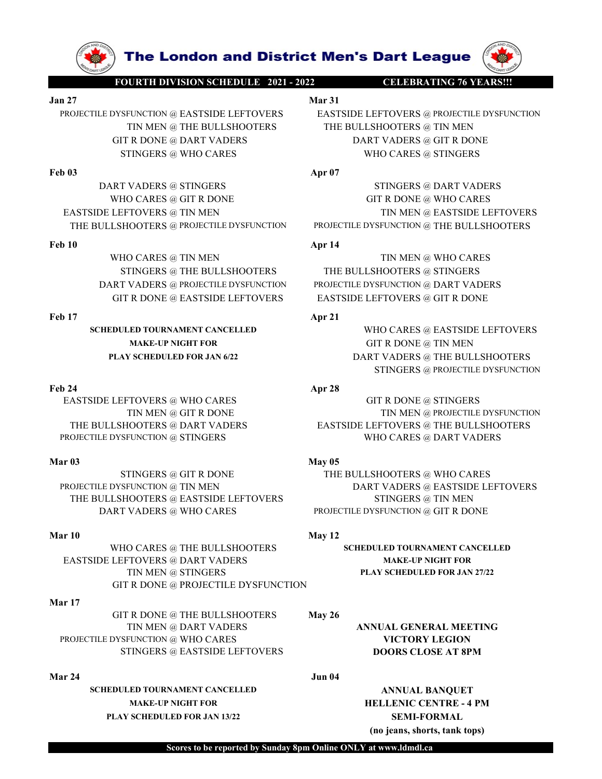

Feb 24 Apr 28 STINGERS @ WHO CARES **APPORTUATIVES @ STINGERS @ STINGERS WHO CARES WERTSIDE LEFTOVERS (STIT R DONE @ GIT R DONE @ WHO CARES THE RULLSHOOTERS GIT R DONE CARES GIT R DONE CARES GIT R DONE CARES GIT R DONE CARES GIT R DONE** DART VADERS @ ISTINGERS @ DART VADERS @ DART VADERS @ DART VADERS & THE BULLSHOOTERS @ THE BULLSHOOTERS @ THE BULLSHOOTERS @ THE BULLSHOOTERS @ THE BULLSHOOTERS @ THE BULLSHOOTERS @ THE BULLSHOOTERS @ THE BULLSHOOTERS @ TH

EASTSIDE LEFTOVERS @ TIN MEN (THE BULLSHOOTERS & THE BULLSHOOTERS PROBECTILE DYSPUNCTION FROM THE BULLSHOOTERS PART VADERS & TIN ISLES (THE BULLSHOOTERS PART VADERS AND STINGERS PART VADERS AND CARES (THE BULLSHOOTERS CIT FROGENS @ TIN MEN (MEDULISHOOTERS @ THE BULLSHOOTERS @ THE BULLSHOOTERS @ THE BULLSHOOTERS @ THE BULLSHOOTERS @ TRINGERS @ TRINGERS GITR DONE **ADVISE AND MELLISHOOTERS AND MELLISHOOTERS AND MELVISHOOTERS AND SECTION** 

DART VADERS @ ROBETILE PYSTENCTION<br>
FOR DATE DONE ASSESSIBLE LEFTOVERS<br>
FOR DATE DONE ASSESSIBLE LEFTOVERS<br>
MARK-UP NGUITFOR<br>
MARK-UP NGUITFOR<br>
MARK-UP NGUITFOR<br>
MARK-UP NGUITFOR<br>
MARK-UP NGUITFOR<br>
MARK-UP NGUITFOR<br>
MARK-U WHO CARES @ THE BULLSHOOTERS SCHEDULED TOURNAMENT CANCELLED EASTSIDE LEFTOVERS @ DART VADERS MAKE-UP NIGHT FOR TIN MEN @ STINGERS PLAY SCHEDULED FOR JAN 27/22 GIT R DONE @ PROJECTILE DYSFUNCTION **EXAMPLE SERVER AND METALLISHOTENS**<br>
THE BULLSHOTENS @ GIT R DONE<br>
THE BULLSHOTENS @ DART VADERS<br>
PRODECTILE DYSFUNCTION @ STINGTES<br>
PRODECTILE DYSFUNCTION @ STINGTES<br>
APOX<br>
STINGTES @ OR TWO CARES WHO CARES WHO CARES WER THE BULLESHOOTERS (THE RULESHOOTERS MART VADERS INTERNETING WARDEN THE RULESHOOTERS (THE RULESHOOTERS SCIENTIF DISTRICTIVERS (THE RULESHOOTERS PRODUCTIES ON THE BULLESHOOTERS PRODUCTIES PRODUCTIES (THE RULESHOOTERS ON THE

# Mar 17

GIT R DONE @ THE BULLSHOOTERS May 26 TIN MEN @ DART VADERS **ANNUAL GENERAL MEETING** STINGERS @ EASTSIDE LEFTOVERS DOORS CLOSE AT 8PM

SCHEDULED TOURNAMENT CANCELLED ANNUAL BANQUET MAKE-UP NIGHT FOR **HELLENIC CENTRE - 4 PM** PLAY SCHEDULED FOR JAN 13/22 SEMI-FORMAL

**The London and District Men's Dart League**<br>
FOURTH DIVISION SCHEDULE 2021 - 2022<br>
Mar 31<br>
YSFUNCTION @ EASTSIDE LEFTOVERS<br>
TIN MEN @ THE BULLSHOOTERS<br>
GIT R DONE @ DART VADERS<br>
BART VADERS @ GIT R DONE **The London and District Men's Dart League (NAME)**<br>
FOURTH DIVISION SCHEDULE 2021 - 2022<br>
Mar 31<br>
PROECTILE DYSFUNCTION @ EASTSIDE LEFTOVERS (RASTSIDE LEFTOVERS @ PROJECTILE DYSFUNCTION<br>
TIN MEN @ THE BULLSHOOTERS (TIN MEN **PROJECTILE DYSFUNCTION @ EASTSIDE LEFTOVERS**<br> **PROJECTILE DYSFUNCTION @ EASTSIDE LEFTOVERS**<br>
TRIMEN @ THE BULLSHOOTERS<br>
TRIMEN @ THE BULLSHOOTERS<br>
TRIMEN @ THE BULLSHOOTERS<br>
STINGERS @ WHO CARES<br> **PROJECTILE DYSFUNCTION**<br> TIN MEN @ THE BULLSHOOTERS THE BULLSHOOTERS @ TIN MEN TRIMERS @ GIT R DONE **COLUMBER WARTER WARTER OF A REAL PROPERTY OF A REAL PROPERTY OF A REAL PROPERTY OF A REAL PROPERTY OF A REAL PROPERTY OF A REAL PROPERTY OF A REAL PROPERTY OF A REAL PROPERTY OF A REAL PROPERTY OF A R The London and District Men's Dart League**<br>
SEUNCTION @ EASTSIDE LEFTOVERS<br>
SEUNCTION @ EASTSIDE LEFTOVERS<br>
TIN MEN @ THE BULLSHOOTERS<br>
TIN MEN @ THE BULLSHOOTERS<br>
STINGERS @ WHO CARES<br>
STINGERS @ STINGERS<br>
HO CARES @ STI **FROECILE DYSENCED CONTROLLER SECURED AND EXERCISE OF CHARGES CONSUMER SECURED AND DETERMINISTIC SECURED AND DETERMINISTIC SECURED AND DRIVING THE BULLSHOOTERS (TRIADERS CONSUMER SECURED AND DRIVING THE BULLSHOOTERS CONSUM EXERCISE THE LONG OF ALS CONSULTER CONSULTS AND THE BULLSHOOTERS ARE ULLSHOOTERS WHO CARES WHO CARES WELLSHOOTERS WAS DART VADERS GENERAL STINGERS AND STINGERS WHO CARES STINGERS WHO CARES STINGERS WHO CARES STINGERS WHO The London and District Men's Dart League (WARES)**<br>
Not CARES MANUAL AND THE BULLSHOOTERS THE BULLSHOOTERS (TRING TO CARES WHO CARES GIT R DONE GART VADERS<br>
THE BULLSHOOTERS THE BULLSHOOTERS GIT R DONE GIT R DONE GIT R D **EXTREMELT AND THE BULLSHOOTERS @ TIN MEN**<br>
TRIVER EASTSIDE LEFTOVERS **a** probectile dyserversion of RASTSIDE LEFTOVERS and the BULLSHOOTERS of TRIVERS of TRIVERS of TRIVERS and the BULLSHOOTERS of TRIVERS **a** probectile **THE BULLSHOOTERS @ THE BULLSHOOTERS PROJECTILE DYSFUNCTION PROJECTIVE PROJECTIVE PROJECTIVE PROJECTIVE PROJECTION PROJECTIVE PROJECTIVE PROJECTION PROJECTION PROJECTIVE PROJECTION PROJECTION PROJECTION PROJECTION PROJECT EXECUTE DRIVERS AND SERVE AND SERVE AND SERVE AND SERVE AND SERVE AND SERVE AND SERVE AND SERVE AND SERVE AND SERVE AND SERVE AND SERVE AND SERVE AND SERVE AND SERVE AND SERVE AND SERVE AND SERVE AND SERVE AND SERVE AND S The London and District Men's Dart League Tourin Division Schedule 2021-2022 CELEBRATING 76 YEARSHIP DIVISION @ FASTSIDE LEFTOVERS MAT VIDERS @ PRODECILE DYSEVICTION TIN MEN @ THE BULLSHOOTERS WHO CARES @ TIN MEN WHO CARE THE LONG CONTROLLIST STATE CONTROLLIST AND THE SECTION CONTROLLIST CONTROLLIST CONTROLLIST CONTROLLIST CONTROLLIST CONTROLLIST CONTROLLIST CONTROLLIST CONTROLLIST CONTROLLIST CONTROLLIST CONTROLLIST CONTROLLIST CONTROLLIS THE LONGON AND EXECTIVERS** WHO CARES (TRIMPLE TO NORMALLY CONNECTIVE ASSESS)<br>
TRIMENT RESEARCT TO THE BULLSHOOTERS (TRIMPLE SUPPRESS (TRIMPLE SUPPRESS (TRIMPLE SUPPRESS (TRIMPLE SUPPRESS (TRIMPLE SUPPRESS (TRIMPLE SUPPRE **FOLD AND THE BULLSHOOTERS**<br>
FRODETILE DYSERVATION & EASTSIDE LEFTOVERS<br>
THE BULLSHOOTERS<br>
THE BULLSHOOTERS (EXECUTE DYSERVATION (THE DOWNER SERVATION OF THE BULLSHOOTERS (THE BULLSHOOTERS (G TIN NEN<br>
THE BULLSHOOTERS (G

THE BULLSHOOTERS (APT OF THE BULLSHOOTERS CORES TO CARES THE BULLSHOOTERS (CORES APT A DONE THE BULLSHOOTERS CORES (APT A DONE THE BULLSHOOTERS CORES ARROLD THE BULLSHOOTER CORES (APT A DONE THE BULLSHOOTERS CORES CORES C THE BULLSHOOTERS @ DART VADERS EASTSIDE LEFTOVERS @ THE BULLSHOOTERS

STINGERS @ THE BULLSHOOTERS THE BULLSHOOTERS @ STINGERS

SCHEDULED TOURNAMENT CANCELLED WHO CARES @ EASTSIDE LEFTOVERS MAKE-UP NIGHT FOR GIT R DONE @ TIN MEN PLAY SCHEDULED FOR JAN 6/22 DART VADERS @ THE BULLSHOOTERS FIOVERS @ FROMETILE DYSPUNCTION<br>HOOTERS @ TIN MEN<br>T VADERS @ GIT R DONE<br>STINGERS @ DART VADERS<br>STINGERS @ DART VADERS<br>STINGERS @ DART VADERS<br>STINGERS @ THE BULLSHOOTERS<br>FUNCTION @ THE BULLSHOOTERS<br>FIOOTERS @ GIT R DONE<br>HOO

HOOTERS @ TRUSTENDINGERS **APTIMERES APTIMERS APTIMERS**<br>
STINGERS @ THE BULLSHOOTERS<br>
THE BULLSHOOTERS @ STINGERS<br>
TVADERS @ THE BULLSHOOTERS<br>
TVADERS @ PROBECILED TOURNAMENT CANCELLED<br>
TOURNAMENT CANCELLED<br>
MAKE-UP NIGHT F WHO CARES @ THE BULLSHOOTERS @ THE BULLSHOOTERS @ THE BULLSHOOTERS @ THE BULLSHOOTERS @ THE EVELUT ONEN WARE UNIT ONE AND THE SULL SHOOTERS WAS USED AND THE BULLSHOOTERS STINGERS WAS USED FOR A STRIP ON THE SULL SHOOTERS S WHO CARES @ TIN MEN @ WHO CARES TINGERS @ THE BULLSHOOTERS THE BULLSHOOTERS CIT R DONE (MATER VADERS CIT R DONE AND THE BULLSHOOTERS CONE CHANNEL AND CARES CONFIGURATION CONES AND CARES CONFIGURATION CONTINUES AND CARES C

(no jeans, shorts, tank tops)

Scores to be reported by Sunday 8pm Online ONLY at www.ldmdl.ca